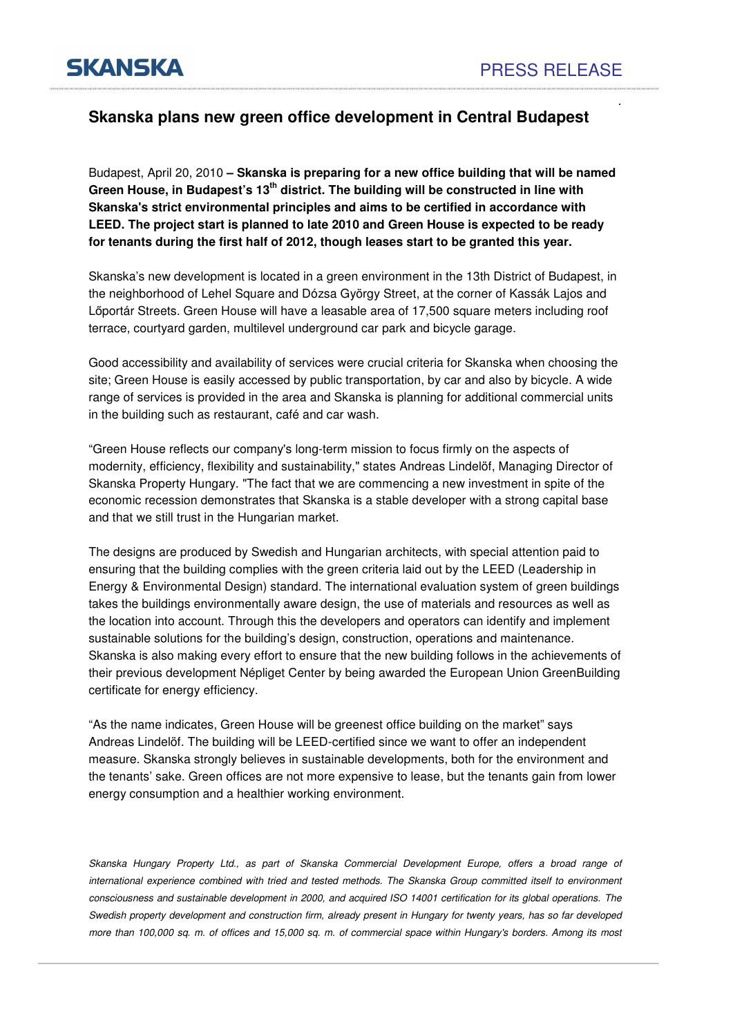.

**SKANSKA** 

## **Skanska plans new green office development in Central Budapest**

Budapest, April 20, 2010 **– Skanska is preparing for a new office building that will be named Green House, in Budapest's 13th district. The building will be constructed in line with Skanska's strict environmental principles and aims to be certified in accordance with LEED. The project start is planned to late 2010 and Green House is expected to be ready for tenants during the first half of 2012, though leases start to be granted this year.** 

Skanska's new development is located in a green environment in the 13th District of Budapest, in the neighborhood of Lehel Square and Dózsa György Street, at the corner of Kassák Lajos and Lőportár Streets. Green House will have a leasable area of 17,500 square meters including roof terrace, courtyard garden, multilevel underground car park and bicycle garage.

Good accessibility and availability of services were crucial criteria for Skanska when choosing the site; Green House is easily accessed by public transportation, by car and also by bicycle. A wide range of services is provided in the area and Skanska is planning for additional commercial units in the building such as restaurant, café and car wash.

"Green House reflects our company's long-term mission to focus firmly on the aspects of modernity, efficiency, flexibility and sustainability," states Andreas Lindelöf, Managing Director of Skanska Property Hungary. "The fact that we are commencing a new investment in spite of the economic recession demonstrates that Skanska is a stable developer with a strong capital base and that we still trust in the Hungarian market.

The designs are produced by Swedish and Hungarian architects, with special attention paid to ensuring that the building complies with the green criteria laid out by the LEED (Leadership in Energy & Environmental Design) standard. The international evaluation system of green buildings takes the buildings environmentally aware design, the use of materials and resources as well as the location into account. Through this the developers and operators can identify and implement sustainable solutions for the building's design, construction, operations and maintenance. Skanska is also making every effort to ensure that the new building follows in the achievements of their previous development Népliget Center by being awarded the European Union GreenBuilding certificate for energy efficiency.

"As the name indicates, Green House will be greenest office building on the market" says Andreas Lindelöf. The building will be LEED-certified since we want to offer an independent measure. Skanska strongly believes in sustainable developments, both for the environment and the tenants' sake. Green offices are not more expensive to lease, but the tenants gain from lower energy consumption and a healthier working environment.

Skanska Hungary Property Ltd., as part of Skanska Commercial Development Europe, offers a broad range of international experience combined with tried and tested methods. The Skanska Group committed itself to environment consciousness and sustainable development in 2000, and acquired ISO 14001 certification for its global operations. The Swedish property development and construction firm, already present in Hungary for twenty years, has so far developed more than 100,000 sq. m. of offices and 15,000 sq. m. of commercial space within Hungary's borders. Among its most